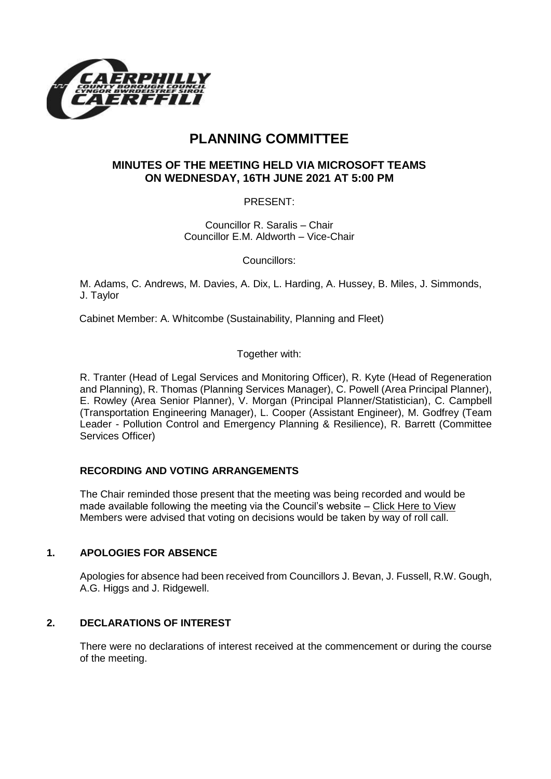

# **PLANNING COMMITTEE**

## **MINUTES OF THE MEETING HELD VIA MICROSOFT TEAMS ON WEDNESDAY, 16TH JUNE 2021 AT 5:00 PM**

PRESENT:

Councillor R. Saralis – Chair Councillor E.M. Aldworth – Vice-Chair

Councillors:

M. Adams, C. Andrews, M. Davies, A. Dix, L. Harding, A. Hussey, B. Miles, J. Simmonds, J. Taylor

Cabinet Member: A. Whitcombe (Sustainability, Planning and Fleet)

Together with:

R. Tranter (Head of Legal Services and Monitoring Officer), R. Kyte (Head of Regeneration and Planning), R. Thomas (Planning Services Manager), C. Powell (Area Principal Planner), E. Rowley (Area Senior Planner), V. Morgan (Principal Planner/Statistician), C. Campbell (Transportation Engineering Manager), L. Cooper (Assistant Engineer), M. Godfrey (Team Leader - Pollution Control and Emergency Planning & Resilience), R. Barrett (Committee Services Officer)

### **RECORDING AND VOTING ARRANGEMENTS**

The Chair reminded those present that the meeting was being recorded and would be made available following the meeting via the Council's website – [Click Here to View](https://www.caerphilly.gov.uk/My-Council/Meetings,-agendas,-minutes-and-reports/Council-meetings?lang=en-GB) Members were advised that voting on decisions would be taken by way of roll call.

### **1. APOLOGIES FOR ABSENCE**

Apologies for absence had been received from Councillors J. Bevan, J. Fussell, R.W. Gough, A.G. Higgs and J. Ridgewell.

### **2. DECLARATIONS OF INTEREST**

There were no declarations of interest received at the commencement or during the course of the meeting.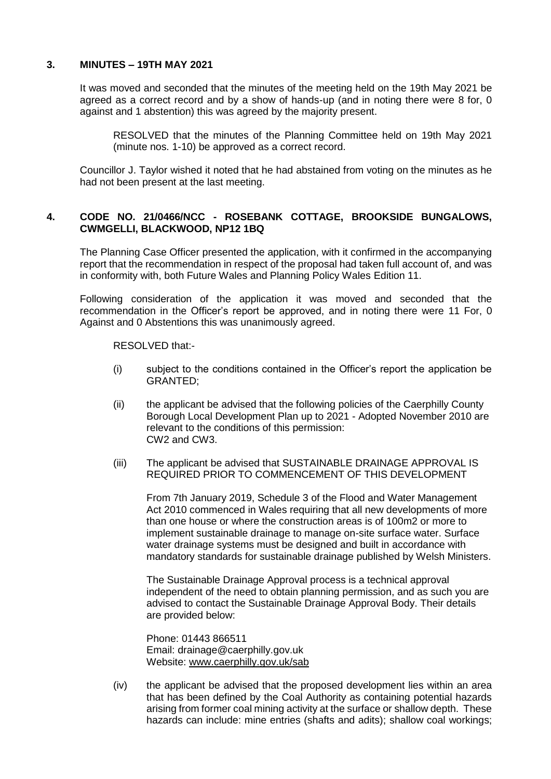#### **3. MINUTES – 19TH MAY 2021**

It was moved and seconded that the minutes of the meeting held on the 19th May 2021 be agreed as a correct record and by a show of hands-up (and in noting there were 8 for, 0 against and 1 abstention) this was agreed by the majority present.

RESOLVED that the minutes of the Planning Committee held on 19th May 2021 (minute nos. 1-10) be approved as a correct record.

Councillor J. Taylor wished it noted that he had abstained from voting on the minutes as he had not been present at the last meeting.

### **4. CODE NO. 21/0466/NCC - ROSEBANK COTTAGE, BROOKSIDE BUNGALOWS, CWMGELLI, BLACKWOOD, NP12 1BQ**

The Planning Case Officer presented the application, with it confirmed in the accompanying report that the recommendation in respect of the proposal had taken full account of, and was in conformity with, both Future Wales and Planning Policy Wales Edition 11.

Following consideration of the application it was moved and seconded that the recommendation in the Officer's report be approved, and in noting there were 11 For, 0 Against and 0 Abstentions this was unanimously agreed.

RESOLVED that:-

- (i) subject to the conditions contained in the Officer's report the application be GRANTED;
- (ii) the applicant be advised that the following policies of the Caerphilly County Borough Local Development Plan up to 2021 - Adopted November 2010 are relevant to the conditions of this permission: CW2 and CW3.
- (iii) The applicant be advised that SUSTAINABLE DRAINAGE APPROVAL IS REQUIRED PRIOR TO COMMENCEMENT OF THIS DEVELOPMENT

From 7th January 2019, Schedule 3 of the Flood and Water Management Act 2010 commenced in Wales requiring that all new developments of more than one house or where the construction areas is of 100m2 or more to implement sustainable drainage to manage on-site surface water. Surface water drainage systems must be designed and built in accordance with mandatory standards for sustainable drainage published by Welsh Ministers.

The Sustainable Drainage Approval process is a technical approval independent of the need to obtain planning permission, and as such you are advised to contact the Sustainable Drainage Approval Body. Their details are provided below:

Phone: 01443 866511 Email: drainage@caerphilly.gov.uk Website: [www.caerphilly.gov.uk/sab](http://www.caerphilly.gov.uk/sab)

(iv) the applicant be advised that the proposed development lies within an area that has been defined by the Coal Authority as containing potential hazards arising from former coal mining activity at the surface or shallow depth. These hazards can include: mine entries (shafts and adits); shallow coal workings;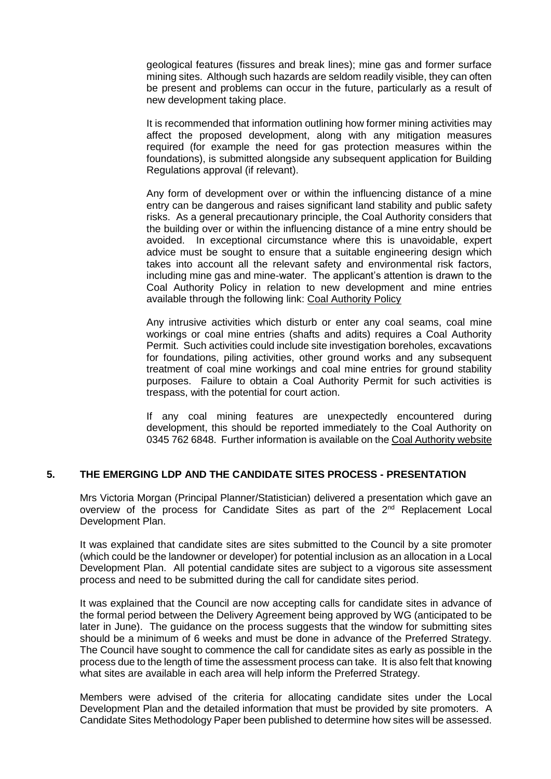geological features (fissures and break lines); mine gas and former surface mining sites. Although such hazards are seldom readily visible, they can often be present and problems can occur in the future, particularly as a result of new development taking place.

It is recommended that information outlining how former mining activities may affect the proposed development, along with any mitigation measures required (for example the need for gas protection measures within the foundations), is submitted alongside any subsequent application for Building Regulations approval (if relevant).

Any form of development over or within the influencing distance of a mine entry can be dangerous and raises significant land stability and public safety risks. As a general precautionary principle, the Coal Authority considers that the building over or within the influencing distance of a mine entry should be avoided. In exceptional circumstance where this is unavoidable, expert advice must be sought to ensure that a suitable engineering design which takes into account all the relevant safety and environmental risk factors, including mine gas and mine-water. The applicant's attention is drawn to the Coal Authority Policy in relation to new development and mine entries available through the following link: [Coal Authority Policy](https://www.gov.uk/government/publications/building-on-or-within-the-influencing-distance-of-mine-entries)

Any intrusive activities which disturb or enter any coal seams, coal mine workings or coal mine entries (shafts and adits) requires a Coal Authority Permit. Such activities could include site investigation boreholes, excavations for foundations, piling activities, other ground works and any subsequent treatment of coal mine workings and coal mine entries for ground stability purposes. Failure to obtain a Coal Authority Permit for such activities is trespass, with the potential for court action.

If any coal mining features are unexpectedly encountered during development, this should be reported immediately to the Coal Authority on 0345 762 6848. Further information is available on the [Coal Authority website](https://www.gov.uk/government/organisations/the-coal-authority)

### **5. THE EMERGING LDP AND THE CANDIDATE SITES PROCESS - PRESENTATION**

Mrs Victoria Morgan (Principal Planner/Statistician) delivered a presentation which gave an overview of the process for Candidate Sites as part of the 2<sup>nd</sup> Replacement Local Development Plan.

It was explained that candidate sites are sites submitted to the Council by a site promoter (which could be the landowner or developer) for potential inclusion as an allocation in a Local Development Plan. All potential candidate sites are subject to a vigorous site assessment process and need to be submitted during the call for candidate sites period.

It was explained that the Council are now accepting calls for candidate sites in advance of the formal period between the Delivery Agreement being approved by WG (anticipated to be later in June). The guidance on the process suggests that the window for submitting sites should be a minimum of 6 weeks and must be done in advance of the Preferred Strategy. The Council have sought to commence the call for candidate sites as early as possible in the process due to the length of time the assessment process can take. It is also felt that knowing what sites are available in each area will help inform the Preferred Strategy.

Members were advised of the criteria for allocating candidate sites under the Local Development Plan and the detailed information that must be provided by site promoters. A Candidate Sites Methodology Paper been published to determine how sites will be assessed.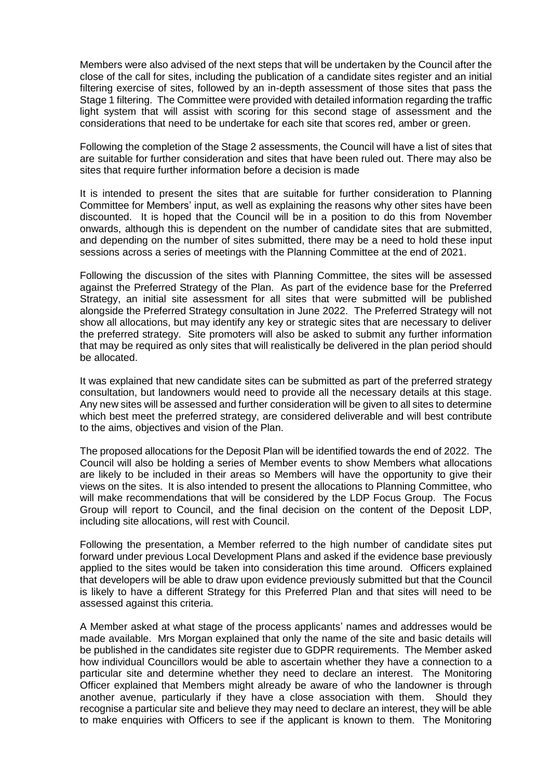Members were also advised of the next steps that will be undertaken by the Council after the close of the call for sites, including the publication of a candidate sites register and an initial filtering exercise of sites, followed by an in-depth assessment of those sites that pass the Stage 1 filtering. The Committee were provided with detailed information regarding the traffic light system that will assist with scoring for this second stage of assessment and the considerations that need to be undertake for each site that scores red, amber or green.

Following the completion of the Stage 2 assessments, the Council will have a list of sites that are suitable for further consideration and sites that have been ruled out. There may also be sites that require further information before a decision is made

It is intended to present the sites that are suitable for further consideration to Planning Committee for Members' input, as well as explaining the reasons why other sites have been discounted. It is hoped that the Council will be in a position to do this from November onwards, although this is dependent on the number of candidate sites that are submitted, and depending on the number of sites submitted, there may be a need to hold these input sessions across a series of meetings with the Planning Committee at the end of 2021.

Following the discussion of the sites with Planning Committee, the sites will be assessed against the Preferred Strategy of the Plan. As part of the evidence base for the Preferred Strategy, an initial site assessment for all sites that were submitted will be published alongside the Preferred Strategy consultation in June 2022. The Preferred Strategy will not show all allocations, but may identify any key or strategic sites that are necessary to deliver the preferred strategy. Site promoters will also be asked to submit any further information that may be required as only sites that will realistically be delivered in the plan period should be allocated.

It was explained that new candidate sites can be submitted as part of the preferred strategy consultation, but landowners would need to provide all the necessary details at this stage. Any new sites will be assessed and further consideration will be given to all sites to determine which best meet the preferred strategy, are considered deliverable and will best contribute to the aims, objectives and vision of the Plan.

The proposed allocations for the Deposit Plan will be identified towards the end of 2022. The Council will also be holding a series of Member events to show Members what allocations are likely to be included in their areas so Members will have the opportunity to give their views on the sites. It is also intended to present the allocations to Planning Committee, who will make recommendations that will be considered by the LDP Focus Group. The Focus Group will report to Council, and the final decision on the content of the Deposit LDP, including site allocations, will rest with Council.

Following the presentation, a Member referred to the high number of candidate sites put forward under previous Local Development Plans and asked if the evidence base previously applied to the sites would be taken into consideration this time around. Officers explained that developers will be able to draw upon evidence previously submitted but that the Council is likely to have a different Strategy for this Preferred Plan and that sites will need to be assessed against this criteria.

A Member asked at what stage of the process applicants' names and addresses would be made available. Mrs Morgan explained that only the name of the site and basic details will be published in the candidates site register due to GDPR requirements. The Member asked how individual Councillors would be able to ascertain whether they have a connection to a particular site and determine whether they need to declare an interest. The Monitoring Officer explained that Members might already be aware of who the landowner is through another avenue, particularly if they have a close association with them. Should they recognise a particular site and believe they may need to declare an interest, they will be able to make enquiries with Officers to see if the applicant is known to them. The Monitoring